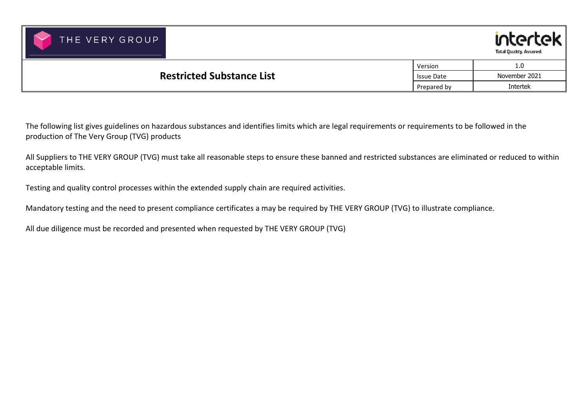



|                                  | Version           | 1.0           |
|----------------------------------|-------------------|---------------|
| <b>Restricted Substance List</b> | <b>Issue Date</b> | November 2021 |
|                                  |                   | Intertek      |

The following list gives guidelines on hazardous substances and identifies limits which are legal requirements or requirements to be followed in the production of The Very Group (TVG) products

All Suppliers to THE VERY GROUP (TVG) must take all reasonable steps to ensure these banned and restricted substances are eliminated or reduced to withinacceptable limits.

Testing and quality control processes within the extended supply chain are required activities.

Mandatory testing and the need to present compliance certificates a may be required by THE VERY GROUP (TVG) to illustrate compliance.

All due diligence must be recorded and presented when requested by THE VERY GROUP (TVG)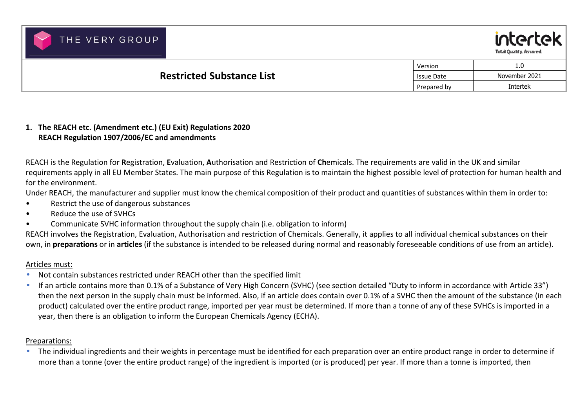



|                                  | Version           | 1.0           |
|----------------------------------|-------------------|---------------|
| <b>Restricted Substance List</b> | <b>Issue Date</b> | November 2021 |
|                                  | Prepared by       | Intertek      |

## **1. The REACH etc. (Amendment etc.) (EU Exit) Regulations 2020 REACH Regulation 1907/2006/EC and amendments**

REACH is the Regulation for **R**egistration, **E**valuation, **A**uthorisation and Restriction of **Ch**emicals. The requirements are valid in the UK and similar requirements apply in all EU Member States. The main purpose of this Regulation is to maintain the highest possible level of protection for human health and for the environment.

Under REACH, the manufacturer and supplier must know the chemical composition of their product and quantities of substances within them in order to:

- Restrict the use of dangerous substances
- Reduce the use of SVHCs
- Communicate SVHC information throughout the supply chain (i.e. obligation to inform)

REACH involves the Registration, Evaluation, Authorisation and restriction of Chemicals. Generally, it applies to all individual chemical substances on their own, in **preparations** or in **articles** (if the substance is intended to be released during normal and reasonably foreseeable conditions of use from an article).

## Articles must:

- $\bullet$ Not contain substances restricted under REACH other than the specified limit
- • If an article contains more than 0.1% of a Substance of Very High Concern (SVHC) (see section detailed "Duty to inform in accordance with Article 33") then the next person in the supply chain must be informed. Also, if an article does contain over 0.1% of a SVHC then the amount of the substance (in eachproduct) calculated over the entire product range, imported per year must be determined. If more than a tonne of any of these SVHCs is imported in a year, then there is an obligation to inform the European Chemicals Agency (ECHA).

## Preparations:

• The individual ingredients and their weights in percentage must be identified for each preparation over an entire product range in order to determine if more than a tonne (over the entire product range) of the ingredient is imported (or is produced) per year. If more than a tonne is imported, then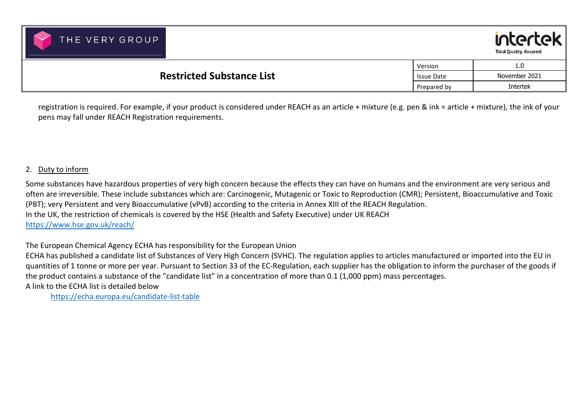



|                                                       | Version     | 1.0           |
|-------------------------------------------------------|-------------|---------------|
| <b>Restricted Substance List</b><br><b>Issue Date</b> |             | November 2021 |
|                                                       | Prepared by | Intertek      |

registration is required. For example, if your product is considered under REACH as an article + mixture (e.g. pen & ink = article + mixture), the ink of your pens may fall under REACH Registration requirements.

### 2. Duty to inform

Some substances have hazardous properties of very high concern because the effects they can have on humans and the environment are very serious and often are irreversible. These include substances which are: Carcinogenic, Mutagenic or Toxic to Reproduction (CMR); Persistent, Bioaccumulative and Toxic(PBT); very Persistent and very Bioaccumulative (vPvB) according to the criteria in Annex XIII of the REACH Regulation. In the UK, the restriction of chemicals is covered by the HSE (Health and Safety Executive) under UK REACH https://www.hse.gov.uk/reach/

The European Chemical Agency ECHA has responsibility for the European Union

ECHA has published a candidate list of Substances of Very High Concern (SVHC). The regulation applies to articles manufactured or imported into the EU in quantities of 1 tonne or more per year. Pursuant to Section 33 of the EC-Regulation, each supplier has the obligation to inform the purchaser of the goods if the product contains a substance of the "candidate list" in a concentration of more than 0.1 (1,000 ppm) mass percentages.

A link to the ECHA list is detailed below

https://echa.europa.eu/candidate-list-table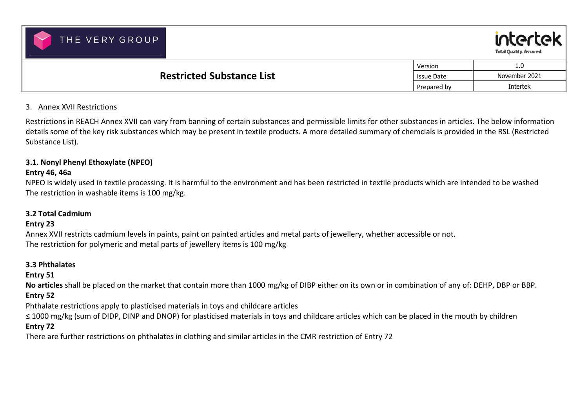



| <b>Restricted Substance List</b> | Version           | 1.0           |
|----------------------------------|-------------------|---------------|
|                                  | <b>Issue Date</b> | November 2021 |
|                                  | Prepared by       | Intertek      |

### 3. Annex XVII Restrictions

Restrictions in REACH Annex XVII can vary from banning of certain substances and permissible limits for other substances in articles. The below information details some of the key risk substances which may be present in textile products. A more detailed summary of chemcials is provided in the RSL (RestrictedSubstance List).

### **3.1. Nonyl Phenyl Ethoxylate (NPEO)**

## **Entry 46, 46a**

NPEO is widely used in textile processing. It is harmful to the environment and has been restricted in textile products which are intended to be washed The restriction in washable items is 100 mg/kg.

## **3.2 Total Cadmium**

## **Entry 23**

Annex XVII restricts cadmium levels in paints, paint on painted articles and metal parts of jewellery, whether accessible or not. The restriction for polymeric and metal parts of jewellery items is 100 mg/kg

### **3.3 Phthalates**

## **Entry 51**

**No articles** shall be placed on the market that contain more than 1000 mg/kg of DIBP either on its own or in combination of any of: DEHP, DBP or BBP. **Entry 52** 

Phthalate restrictions apply to plasticised materials in toys and childcare articles

≤ 1000 mg/kg (sum of DIDP, DINP and DNOP) for plasticised materials in toys and childcare articles which can be placed in the mouth by children

## **Entry 72**

There are further restrictions on phthalates in clothing and similar articles in the CMR restriction of Entry 72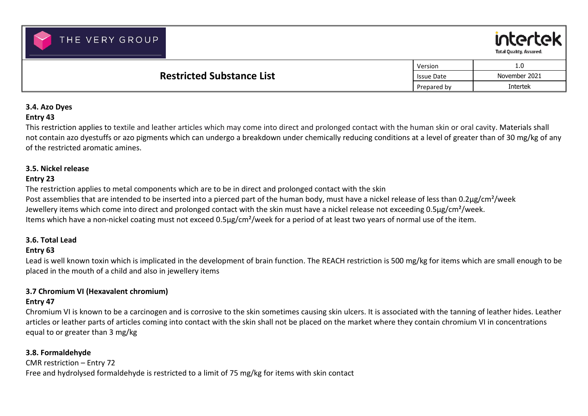



|                                                | Version     | 1.0 <sub>1</sub> |
|------------------------------------------------|-------------|------------------|
| <b>Restricted Substance List</b><br>Issue Date |             | November 2021    |
|                                                | Prepared by | Intertek         |
|                                                |             |                  |

# **3.4. Azo Dyes**

## **Entry 43**

This restriction applies to textile and leather articles which may come into direct and prolonged contact with the human skin or oral cavity. Materials shall not contain azo dyestuffs or azo pigments which can undergo a breakdown under chemically reducing conditions at a level of greater than of 30 mg/kg of any of the restricted aromatic amines.

## **3.5. Nickel release**

## **Entry 23**

The restriction applies to metal components which are to be in direct and prolonged contact with the skinPost assemblies that are intended to be inserted into a pierced part of the human body, must have a nickel release of less than 0.2μg/cm<sup>2</sup>/week Jewellery items which come into direct and prolonged contact with the skin must have a nickel release not exceeding 0.5µg/cm<sup>2</sup>/week. Items which have a non-nickel coating must not exceed 0.5µg/cm²/week for a period of at least two years of normal use of the item.

## **3.6. Total Lead**

## **Entry 63**

Lead is well known toxin which is implicated in the development of brain function. The REACH restriction is 500 mg/kg for items which are small enough to be placed in the mouth of a child and also in jewellery items

## **3.7 Chromium VI (Hexavalent chromium)**

## **Entry 47**

Chromium VI is known to be a carcinogen and is corrosive to the skin sometimes causing skin ulcers. It is associated with the tanning of leather hides. Leather articles or leather parts of articles coming into contact with the skin shall not be placed on the market where they contain chromium VI in concentrations equal to or greater than 3 mg/kg

## **3.8. Formaldehyde**

CMR restriction – Entry 72 Free and hydrolysed formaldehyde is restricted to a limit of 75 mg/kg for items with skin contact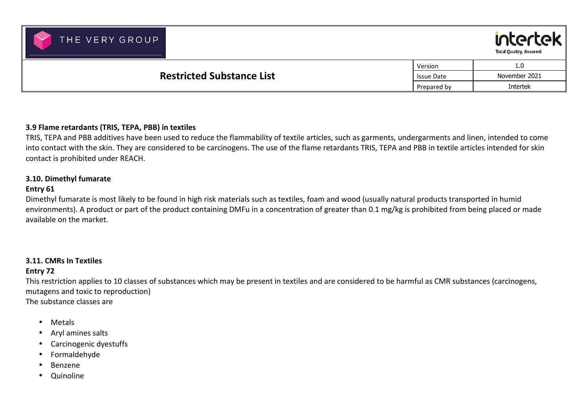



|                                  | Version           | 1.0           |
|----------------------------------|-------------------|---------------|
| <b>Restricted Substance List</b> | <b>Issue Date</b> | November 2021 |
|                                  |                   | Intertek      |

### **3.9 Flame retardants (TRIS, TEPA, PBB) in textiles**

TRIS, TEPA and PBB additives have been used to reduce the flammability of textile articles, such as garments, undergarments and linen, intended to come into contact with the skin. They are considered to be carcinogens. The use of the flame retardants TRIS, TEPA and PBB in textile articles intended for skin contact is prohibited under REACH.

### **3.10. Dimethyl fumarate**

### **Entry 61**

Dimethyl fumarate is most likely to be found in high risk materials such as textiles, foam and wood (usually natural products transported in humid environments). A product or part of the product containing DMFu in a concentration of greater than 0.1 mg/kg is prohibited from being placed or made available on the market.

### **3.11. CMRs In Textiles Entry 72**

This restriction applies to 10 classes of substances which may be present in textiles and are considered to be harmful as CMR substances (carcinogens, mutagens and toxic to reproduction) The substance classes are

- •Metals
- $\bullet$ Aryl amines salts
- $\bullet$ Carcinogenic dyestuffs
- $\bullet$ Formaldehyde
- •Benzene
- $\bullet$ Quinoline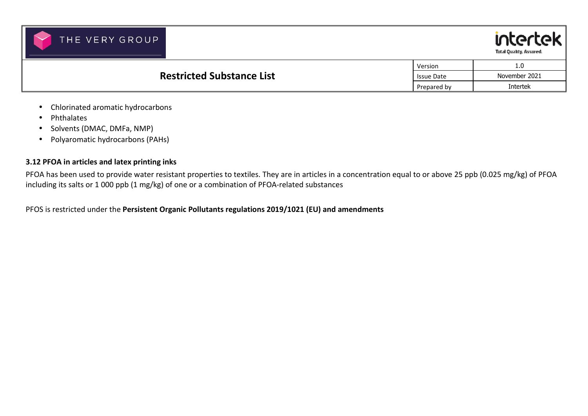



|                                  | Version           | 1.0             |
|----------------------------------|-------------------|-----------------|
| <b>Restricted Substance List</b> | <b>Issue Date</b> | November 2021   |
|                                  | Prepared by       | <b>Intertek</b> |

- •Chlorinated aromatic hydrocarbons
- •Phthalates
- •Solvents (DMAC, DMFa, NMP)
- Polyaromatic hydrocarbons (PAHs)

### **3.12 PFOA in articles and latex printing inks**

PFOA has been used to provide water resistant properties to textiles. They are in articles in a concentration equal to or above 25 ppb (0.025 mg/kg) of PFOA including its salts or 1 000 ppb (1 mg/kg) of one or a combination of PFOA-related substances

PFOS is restricted under the **Persistent Organic Pollutants regulations 2019/1021 (EU) and amendments**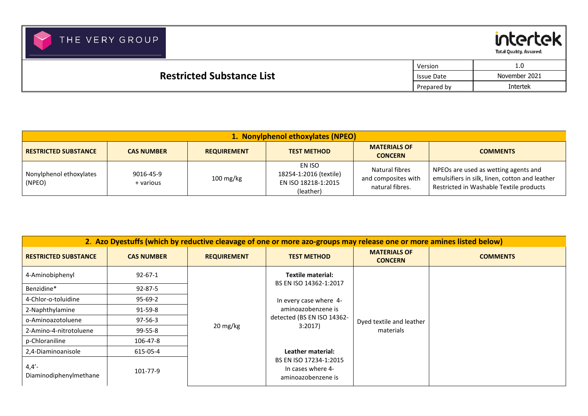

intertek Total Quality, Assured.

|                                  | Version     | <b>L.U</b>    |
|----------------------------------|-------------|---------------|
| <b>Restricted Substance List</b> | Issue Date  | November 2021 |
|                                  | Prepared by | Intertek      |

| 1. Nonylphenol ethoxylates (NPEO) |                        |                     |                                                                      |                                                          |                                                                                                                                   |  |  |
|-----------------------------------|------------------------|---------------------|----------------------------------------------------------------------|----------------------------------------------------------|-----------------------------------------------------------------------------------------------------------------------------------|--|--|
| <b>RESTRICTED SUBSTANCE</b>       | <b>CAS NUMBER</b>      | <b>REQUIREMENT</b>  | <b>TEST METHOD</b>                                                   | <b>MATERIALS OF</b><br><b>CONCERN</b>                    | <b>COMMENTS</b>                                                                                                                   |  |  |
| Nonylphenol ethoxylates<br>(NPEO) | 9016-45-9<br>+ various | $100 \text{ mg/kg}$ | EN ISO<br>18254-1:2016 (textile)<br>EN ISO 18218-1:2015<br>(leather) | Natural fibres<br>and composites with<br>natural fibres. | NPEOs are used as wetting agents and<br>emulsifiers in silk, linen, cotton and leather<br>Restricted in Washable Textile products |  |  |

| 2. Azo Dyestuffs (which by reductive cleavage of one or more azo-groups may release one or more amines listed below) |                   |                    |                                                                   |                                       |                 |                            |                          |  |
|----------------------------------------------------------------------------------------------------------------------|-------------------|--------------------|-------------------------------------------------------------------|---------------------------------------|-----------------|----------------------------|--------------------------|--|
| <b>RESTRICTED SUBSTANCE</b>                                                                                          | <b>CAS NUMBER</b> | <b>REQUIREMENT</b> | <b>TEST METHOD</b>                                                | <b>MATERIALS OF</b><br><b>CONCERN</b> | <b>COMMENTS</b> |                            |                          |  |
| 4-Aminobiphenyl                                                                                                      | $92 - 67 - 1$     |                    | <b>Textile material:</b><br>BS EN ISO 14362-1:2017                |                                       |                 |                            |                          |  |
| Benzidine*                                                                                                           | $92 - 87 - 5$     |                    |                                                                   |                                       |                 |                            |                          |  |
| 4-Chlor-o-toluidine                                                                                                  | $95 - 69 - 2$     |                    | In every case where 4-                                            |                                       |                 |                            |                          |  |
| 2-Naphthylamine                                                                                                      | $91 - 59 - 8$     |                    | aminoazobenzene is                                                |                                       |                 |                            |                          |  |
| o-Aminoazotoluene                                                                                                    | $97 - 56 - 3$     | 20 mg/kg           |                                                                   |                                       |                 | detected (BS EN ISO 14362- | Dyed textile and leather |  |
| 2-Amino-4-nitrotoluene                                                                                               | 99-55-8           |                    | 3:2017                                                            | materials                             |                 |                            |                          |  |
| p-Chloraniline                                                                                                       | 106-47-8          |                    |                                                                   |                                       |                 |                            |                          |  |
| 2,4-Diaminoanisole                                                                                                   | 615-05-4          |                    | Leather material:                                                 |                                       |                 |                            |                          |  |
| $4,4'$ -<br>Diaminodiphenylmethane                                                                                   | 101-77-9          |                    | BS EN ISO 17234-1:2015<br>In cases where 4-<br>aminoazobenzene is |                                       |                 |                            |                          |  |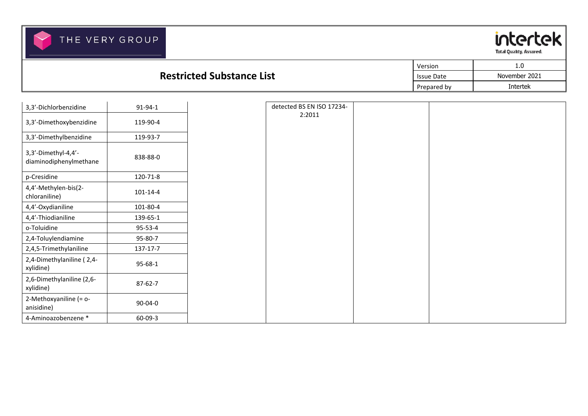

#### **Restricted Substance List**Version 1.0 Issue Date November 2021 Prepared by **Intertek**

| 3,3'-Dichlorbenzidine                         | 91-94-1       |
|-----------------------------------------------|---------------|
| 3,3'-Dimethoxybenzidine                       | 119-90-4      |
| 3,3'-Dimethylbenzidine                        | 119-93-7      |
| 3,3'-Dimethyl-4,4'-<br>diaminodiphenylmethane | 838-88-0      |
| p-Cresidine                                   | 120-71-8      |
| 4,4'-Methylen-bis(2-<br>chloraniline)         | 101-14-4      |
| 4,4'-Oxydianiline                             | 101-80-4      |
| 4,4'-Thiodianiline                            | 139-65-1      |
| o-Toluidine                                   | $95 - 53 - 4$ |
| 2,4-Toluylendiamine                           | 95-80-7       |
| 2,4,5-Trimethylaniline                        | 137-17-7      |
| 2,4-Dimethylaniline (2,4-<br>xylidine)        | $95 - 68 - 1$ |
| 2,6-Dimethylaniline (2,6-<br>xylidine)        | $87 - 62 - 7$ |
| 2-Methoxyaniline (= o-<br>anisidine)          | 90-04-0       |
| 4-Aminoazobenzene *                           | $60 - 09 - 3$ |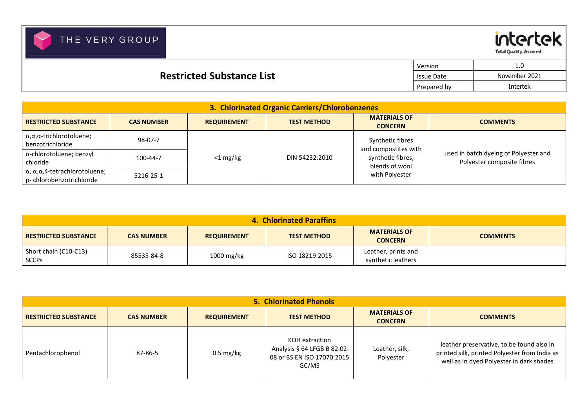Total Quality, Assured.

intertek

|                                  | Version           | 1.0             |
|----------------------------------|-------------------|-----------------|
| <b>Restricted Substance List</b> | <b>Issue Date</b> | November 2021   |
| Prepared by                      |                   | <b>Intertek</b> |

|                                                                        |                   |                    | 3. Chlorinated Organic Carriers/Chlorobenzenes |                                          |                                                                     |
|------------------------------------------------------------------------|-------------------|--------------------|------------------------------------------------|------------------------------------------|---------------------------------------------------------------------|
| <b>RESTRICTED SUBSTANCE</b>                                            | <b>CAS NUMBER</b> | <b>REQUIREMENT</b> | <b>TEST METHOD</b>                             | <b>MATERIALS OF</b><br><b>CONCERN</b>    | <b>COMMENTS</b>                                                     |
| $\alpha, \alpha, \alpha$ -trichlorotoluene;<br>benzotrichloride        | 98-07-7           |                    |                                                | Synthetic fibres<br>and compostites with |                                                                     |
| α-chlorotoluene; benzyl<br>chloride                                    | 100-44-7          | $<$ 1 mg/kg        | DIN 54232:2010                                 | synthetic fibres,<br>blends of wool      | used in batch dyeing of Polyester and<br>Polyester composite fibres |
| $α$ , $α$ , $α$ , $4$ -tetrachlorotoluene;<br>p-chlorobenzotrichloride | 5216-25-1         |                    |                                                | with Polyester                           |                                                                     |

|                                       |                   |                    | <b>4. Chlorinated Paraffins</b> |                                           |                 |
|---------------------------------------|-------------------|--------------------|---------------------------------|-------------------------------------------|-----------------|
| <b>RESTRICTED SUBSTANCE</b>           | <b>CAS NUMBER</b> | <b>REQUIREMENT</b> | <b>TEST METHOD</b>              | <b>MATERIALS OF</b><br><b>CONCERN</b>     | <b>COMMENTS</b> |
| Short chain (C10-C13)<br><b>SCCPs</b> | 85535-84-8        | 1000 mg/kg         | ISO 18219:2015                  | Leather, prints and<br>synthetic leathers |                 |

|                             |                   |                     | <b>5. Chlorinated Phenols</b>                                                        |                                       |                                                                                                                                        |
|-----------------------------|-------------------|---------------------|--------------------------------------------------------------------------------------|---------------------------------------|----------------------------------------------------------------------------------------------------------------------------------------|
| <b>RESTRICTED SUBSTANCE</b> | <b>CAS NUMBER</b> | <b>REQUIREMENT</b>  | <b>TEST METHOD</b>                                                                   | <b>MATERIALS OF</b><br><b>CONCERN</b> | <b>COMMENTS</b>                                                                                                                        |
| Pentachlorophenol           | 87-86-5           | $0.5 \text{ mg/kg}$ | KOH extraction<br>Analysis § 64 LFGB B 82.02-<br>08 or BS EN ISO 17070:2015<br>GC/MS | Leather, silk,<br>Polyester           | leather preservative, to be found also in<br>printed silk, printed Polyester from India as<br>well as in dyed Polyester in dark shades |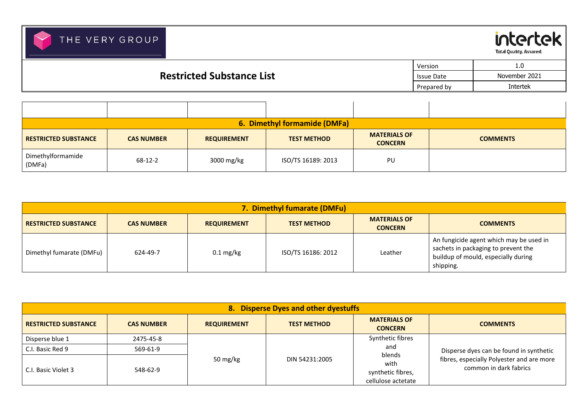intertek Total Quality, Assured.

|                                  | Version           | 1.0             |
|----------------------------------|-------------------|-----------------|
| <b>Restricted Substance List</b> | <b>Issue Date</b> | November 2021   |
|                                  | Prepared by       | <b>Intertek</b> |

|                             |                   |                    | 6. Dimethyl formamide (DMFa) |                                       |                 |
|-----------------------------|-------------------|--------------------|------------------------------|---------------------------------------|-----------------|
| <b>RESTRICTED SUBSTANCE</b> | <b>CAS NUMBER</b> | <b>REQUIREMENT</b> | <b>TEST METHOD</b>           | <b>MATERIALS OF</b><br><b>CONCERN</b> | <b>COMMENTS</b> |
| Dimethylformamide<br>(DMFa) | 68-12-2           | 3000 mg/kg         | ISO/TS 16189: 2013           | PU                                    |                 |

|                             |                   |                     | 7. Dimethyl fumarate (DMFu) |                                       |                                                                                                                                    |
|-----------------------------|-------------------|---------------------|-----------------------------|---------------------------------------|------------------------------------------------------------------------------------------------------------------------------------|
| <b>RESTRICTED SUBSTANCE</b> | <b>CAS NUMBER</b> | <b>REQUIREMENT</b>  | <b>TEST METHOD</b>          | <b>MATERIALS OF</b><br><b>CONCERN</b> | <b>COMMENTS</b>                                                                                                                    |
| Dimethyl fumarate (DMFu)    | 624-49-7          | $0.1 \text{ mg/kg}$ | ISO/TS 16186: 2012          | Leather                               | An fungicide agent which may be used in<br>sachets in packaging to prevent the<br>buildup of mould, especially during<br>shipping. |

|                                     |                       |                    | 8. Disperse Dyes and other dyestuffs |                                                           |                                                                     |
|-------------------------------------|-----------------------|--------------------|--------------------------------------|-----------------------------------------------------------|---------------------------------------------------------------------|
| <b>RESTRICTED SUBSTANCE</b>         | <b>CAS NUMBER</b>     | <b>REQUIREMENT</b> | <b>TEST METHOD</b>                   | <b>MATERIALS OF</b><br><b>CONCERN</b>                     | <b>COMMENTS</b>                                                     |
| Disperse blue 1<br>C.I. Basic Red 9 | 2475-45-8<br>569-61-9 |                    |                                      | Synthetic fibres<br>and                                   | Disperse dyes can be found in synthetic                             |
| C.I. Basic Violet 3                 | 548-62-9              | 50 mg/kg           | DIN 54231:2005                       | blends<br>with<br>synthetic fibres,<br>cellulose actetate | fibres, especially Polyester and are more<br>common in dark fabrics |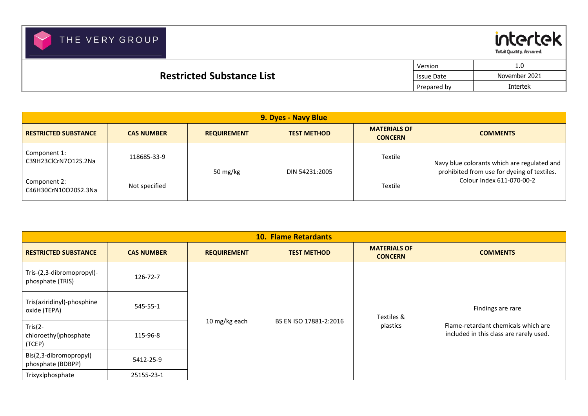



Total Quality, Assured.

|                                  | Version     | 0.1           |
|----------------------------------|-------------|---------------|
| <b>Restricted Substance List</b> | Issue Date  | November 2021 |
|                                  | Prepared by | Intertek      |

|                                      |                   |                    | 9. Dyes - Navy Blue |                                       |                                                                          |
|--------------------------------------|-------------------|--------------------|---------------------|---------------------------------------|--------------------------------------------------------------------------|
| <b>RESTRICTED SUBSTANCE</b>          | <b>CAS NUMBER</b> | <b>REQUIREMENT</b> | <b>TEST METHOD</b>  | <b>MATERIALS OF</b><br><b>CONCERN</b> | <b>COMMENTS</b>                                                          |
| Component 1:<br>C39H23ClCrN7O12S.2Na | 118685-33-9       |                    |                     | Textile                               | Navy blue colorants which are regulated and                              |
| Component 2:<br>C46H30CrN10O20S2.3Na | Not specified     | 50 mg/kg           | DIN 54231:2005      | Textile                               | prohibited from use for dyeing of textiles.<br>Colour Index 611-070-00-2 |

|                                                |                   |                    | <b>10. Flame Retardants</b> |                                       |                                                                                |
|------------------------------------------------|-------------------|--------------------|-----------------------------|---------------------------------------|--------------------------------------------------------------------------------|
| <b>RESTRICTED SUBSTANCE</b>                    | <b>CAS NUMBER</b> | <b>REQUIREMENT</b> | <b>TEST METHOD</b>          | <b>MATERIALS OF</b><br><b>CONCERN</b> | <b>COMMENTS</b>                                                                |
| Tris-(2,3-dibromopropyl)-<br>phosphate (TRIS)  | 126-72-7          |                    |                             |                                       |                                                                                |
| Tris(aziridinyl)-phosphine<br>oxide (TEPA)     | 545-55-1          |                    |                             | Textiles &                            | Findings are rare                                                              |
| Tris $(2 -$<br>chloroethyl)phosphate<br>(TCEP) | 115-96-8          | 10 mg/kg each      | BS EN ISO 17881-2:2016      | plastics                              | Flame-retardant chemicals which are<br>included in this class are rarely used. |
| Bis(2,3-dibromopropyl)<br>phosphate (BDBPP)    | 5412-25-9         |                    |                             |                                       |                                                                                |
| Trixyxlphosphate                               | 25155-23-1        |                    |                             |                                       |                                                                                |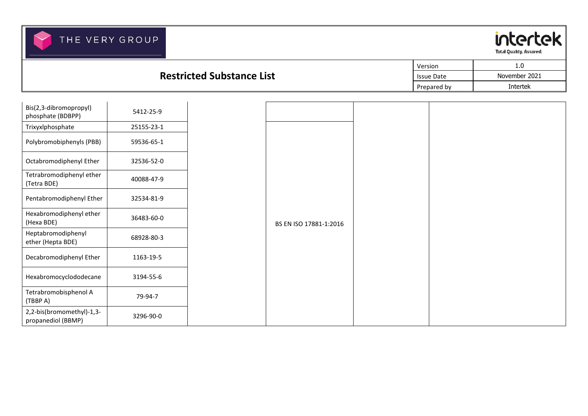

|                                  | Version     | 1.0           |
|----------------------------------|-------------|---------------|
| <b>Restricted Substance List</b> | Issue Date  | November 2021 |
|                                  | Prepared by | Intertek      |

| Bis(2,3-dibromopropyl)<br>phosphate (BDBPP)     | 5412-25-9  |
|-------------------------------------------------|------------|
| Trixyxlphosphate                                | 25155-23-1 |
| Polybromobiphenyls (PBB)                        | 59536-65-1 |
| Octabromodiphenyl Ether                         | 32536-52-0 |
| Tetrabromodiphenyl ether<br>(Tetra BDE)         | 40088-47-9 |
| Pentabromodiphenyl Ether                        | 32534-81-9 |
| Hexabromodiphenyl ether<br>(Hexa BDE)           | 36483-60-0 |
| Heptabromodiphenyl<br>ether (Hepta BDE)         | 68928-80-3 |
| Decabromodiphenyl Ether                         | 1163-19-5  |
| Hexabromocyclododecane                          | 3194-55-6  |
| Tetrabromobisphenol A<br>(TBBP A)               | 79-94-7    |
| 2,2-bis(bromomethyl)-1,3-<br>propanediol (BBMP) | 3296-90-0  |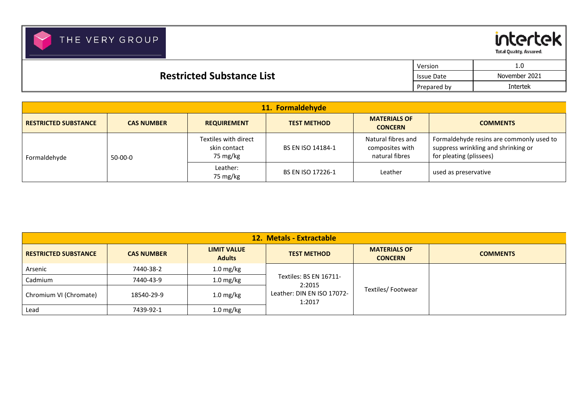

Total Quality, Assured.

|                                                       | Version     | 1.0             |
|-------------------------------------------------------|-------------|-----------------|
| <b>Restricted Substance List</b><br><b>Issue Date</b> |             | November 2021   |
|                                                       | Prepared by | <b>Intertek</b> |

| 11. Formaldehyde            |                   |                                                  |                    |                                                         |                                                                                                            |  |  |
|-----------------------------|-------------------|--------------------------------------------------|--------------------|---------------------------------------------------------|------------------------------------------------------------------------------------------------------------|--|--|
| <b>RESTRICTED SUBSTANCE</b> | <b>CAS NUMBER</b> | <b>REQUIREMENT</b>                               | <b>TEST METHOD</b> | <b>MATERIALS OF</b><br><b>CONCERN</b>                   | <b>COMMENTS</b>                                                                                            |  |  |
| Formaldehyde                | $50-00-0$         | Textiles with direct<br>skin contact<br>75 mg/kg | BS EN ISO 14184-1  | Natural fibres and<br>composites with<br>natural fibres | Formaldehyde resins are commonly used to<br>suppress wrinkling and shrinking or<br>for pleating (plissees) |  |  |
|                             |                   | Leather:<br>75 mg/kg                             | BS EN ISO 17226-1  | Leather                                                 | used as preservative                                                                                       |  |  |

| 12. Metals - Extractable    |                   |                                     |                                      |                                       |                 |  |
|-----------------------------|-------------------|-------------------------------------|--------------------------------------|---------------------------------------|-----------------|--|
| <b>RESTRICTED SUBSTANCE</b> | <b>CAS NUMBER</b> | <b>LIMIT VALUE</b><br><b>Adults</b> | <b>TEST METHOD</b>                   | <b>MATERIALS OF</b><br><b>CONCERN</b> | <b>COMMENTS</b> |  |
| Arsenic                     | 7440-38-2         | $1.0$ mg/kg                         |                                      |                                       |                 |  |
| Cadmium                     | 7440-43-9         | $1.0$ mg/kg                         | Textiles: BS EN 16711-<br>2:2015     |                                       |                 |  |
| Chromium VI (Chromate)      | 18540-29-9        | $1.0$ mg/kg                         | Leather: DIN EN ISO 17072-<br>1:2017 | Textiles/Footwear                     |                 |  |
| Lead                        | 7439-92-1         | $1.0$ mg/kg                         |                                      |                                       |                 |  |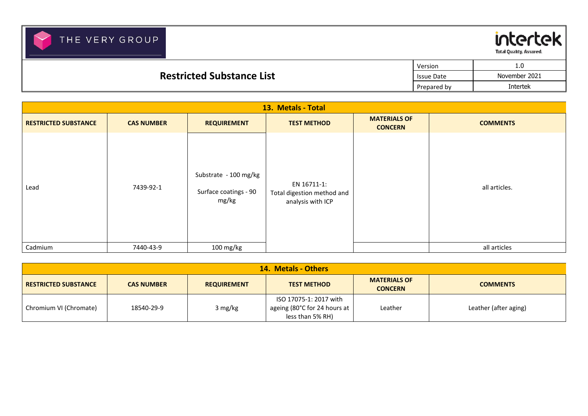

Total Quality, Assured.

|                                  | Version           | 1.0           |
|----------------------------------|-------------------|---------------|
| <b>Restricted Substance List</b> | <b>Issue Date</b> | November 2021 |
|                                  | Prepared by       | Intertek      |

| 13. Metals - Total          |                   |                                                         |                                                                |                                       |                 |  |  |
|-----------------------------|-------------------|---------------------------------------------------------|----------------------------------------------------------------|---------------------------------------|-----------------|--|--|
| <b>RESTRICTED SUBSTANCE</b> | <b>CAS NUMBER</b> | <b>REQUIREMENT</b>                                      | <b>TEST METHOD</b>                                             | <b>MATERIALS OF</b><br><b>CONCERN</b> | <b>COMMENTS</b> |  |  |
| Lead                        | 7439-92-1         | Substrate - 100 mg/kg<br>Surface coatings - 90<br>mg/kg | EN 16711-1:<br>Total digestion method and<br>analysis with ICP |                                       | all articles.   |  |  |
| Cadmium                     | 7440-43-9         | 100 mg/kg                                               |                                                                |                                       | all articles    |  |  |

| <b>14. Metals - Others</b>  |                   |                    |                                                                                |                                       |                       |  |
|-----------------------------|-------------------|--------------------|--------------------------------------------------------------------------------|---------------------------------------|-----------------------|--|
| <b>RESTRICTED SUBSTANCE</b> | <b>CAS NUMBER</b> | <b>REQUIREMENT</b> | <b>TEST METHOD</b>                                                             | <b>MATERIALS OF</b><br><b>CONCERN</b> | <b>COMMENTS</b>       |  |
| Chromium VI (Chromate)      | 18540-29-9        | 3 mg/kg            | ISO 17075-1: 2017 with<br>ageing (80°C for 24 hours at $ $<br>less than 5% RH) | Leather                               | Leather (after aging) |  |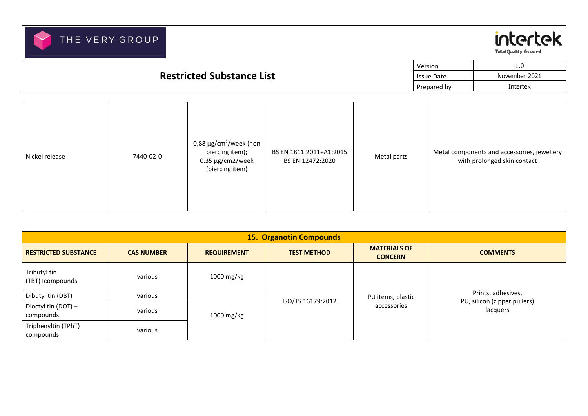

|                                                       | Version     | 1.0             |
|-------------------------------------------------------|-------------|-----------------|
| <b>Restricted Substance List</b><br><b>Issue Date</b> |             | November 2021   |
|                                                       | Prepared by | <b>Intertek</b> |
|                                                       |             |                 |

| Nickel release | 7440-02-0 | 0,88 $\mu$ g/cm <sup>2</sup> /week (non<br>piercing item);<br>$0.35 \,\mathrm{\mu g/cm}$ 2/week<br>(piercing item) | BS EN 1811:2011+A1:2015<br>BS EN 12472:2020 | Metal parts | Metal components and accessories, jewellery  <br>with prolonged skin contact |
|----------------|-----------|--------------------------------------------------------------------------------------------------------------------|---------------------------------------------|-------------|------------------------------------------------------------------------------|
|----------------|-----------|--------------------------------------------------------------------------------------------------------------------|---------------------------------------------|-------------|------------------------------------------------------------------------------|

| <b>15. Organotin Compounds</b>   |                   |                                 |                    |                                          |                    |  |  |
|----------------------------------|-------------------|---------------------------------|--------------------|------------------------------------------|--------------------|--|--|
| <b>RESTRICTED SUBSTANCE</b>      | <b>CAS NUMBER</b> | <b>REQUIREMENT</b>              | <b>TEST METHOD</b> | <b>MATERIALS OF</b><br><b>CONCERN</b>    | <b>COMMENTS</b>    |  |  |
| Tributyl tin<br>(TBT)+compounds  | various           | 1000 mg/kg                      |                    |                                          |                    |  |  |
| Dibutyl tin (DBT)                | various           |                                 |                    | PU items, plastic                        | Prints, adhesives, |  |  |
| Dioctyl tin (DOT) +<br>compounds | various           | ISO/TS 16179:2012<br>1000 mg/kg | accessories        | PU, silicon (zipper pullers)<br>lacquers |                    |  |  |
| Triphenyltin (TPhT)<br>compounds | various           |                                 |                    |                                          |                    |  |  |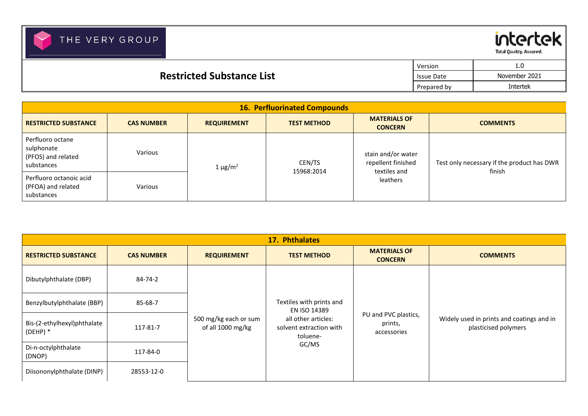**Total Quality, Assured.** 

intertek

|                                  | Version           | 1.0           |
|----------------------------------|-------------------|---------------|
| <b>Restricted Substance List</b> | <b>Issue Date</b> | November 2021 |
|                                  | Prepared by       | Intertek      |

| <b>16. Perfluorinated Compounds</b>                                |                   |                    |                    |                                                          |                                            |  |
|--------------------------------------------------------------------|-------------------|--------------------|--------------------|----------------------------------------------------------|--------------------------------------------|--|
| <b>RESTRICTED SUBSTANCE</b>                                        | <b>CAS NUMBER</b> | <b>REQUIREMENT</b> | <b>TEST METHOD</b> | <b>MATERIALS OF</b><br><b>CONCERN</b>                    | <b>COMMENTS</b>                            |  |
| Perfluoro octane<br>sulphonate<br>(PFOS) and related<br>substances | Various           | $1 \mu g/m^2$      | CEN/TS             | stain and/or water<br>repellent finished<br>textiles and | Test only necessary if the product has DWR |  |
| Perfluoro octanoic acid<br>(PFOA) and related<br>substances        | Various           |                    | 15968:2014         | leathers                                                 | finish                                     |  |

| 17. Phthalates                            |                   |                                            |                                          |                                       |                 |  |  |                                                            |                                                |                                                                   |
|-------------------------------------------|-------------------|--------------------------------------------|------------------------------------------|---------------------------------------|-----------------|--|--|------------------------------------------------------------|------------------------------------------------|-------------------------------------------------------------------|
| <b>RESTRICTED SUBSTANCE</b>               | <b>CAS NUMBER</b> | <b>REQUIREMENT</b>                         | <b>TEST METHOD</b>                       | <b>MATERIALS OF</b><br><b>CONCERN</b> | <b>COMMENTS</b> |  |  |                                                            |                                                |                                                                   |
| Dibutylphthalate (DBP)                    | 84-74-2           |                                            |                                          |                                       |                 |  |  |                                                            |                                                |                                                                   |
| Benzylbutylphthalate (BBP)                | 85-68-7           |                                            | Textiles with prints and<br>EN ISO 14389 |                                       |                 |  |  |                                                            |                                                |                                                                   |
| Bis-(2-ethylhexyl)phthalate<br>$(DEHP)$ * | 117-81-7          | 500 mg/kg each or sum<br>of all 1000 mg/kg |                                          |                                       |                 |  |  | all other articles:<br>solvent extraction with<br>toluene- | PU and PVC plastics,<br>prints,<br>accessories | Widely used in prints and coatings and in<br>plasticised polymers |
| Di-n-octylphthalate<br>(DNOP)             | 117-84-0          |                                            | GC/MS                                    |                                       |                 |  |  |                                                            |                                                |                                                                   |
| Diisononylphthalate (DINP)                | 28553-12-0        |                                            |                                          |                                       |                 |  |  |                                                            |                                                |                                                                   |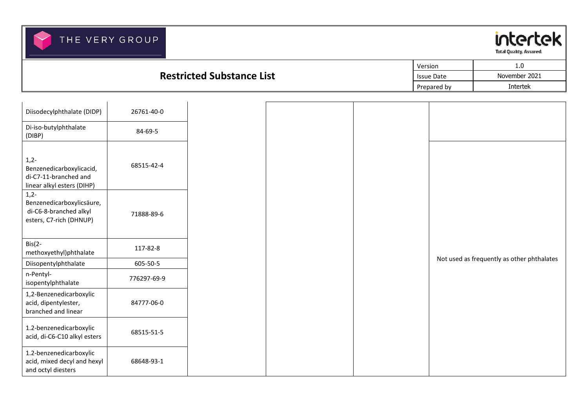

|                                  | Version           | 1.0           |
|----------------------------------|-------------------|---------------|
| <b>Restricted Substance List</b> | <b>Issue Date</b> | November 2021 |
|                                  | Prepared by       | Intertek      |

| Diisodecylphthalate (DIDP)                                                                | 26761-40-0  |
|-------------------------------------------------------------------------------------------|-------------|
| Di-iso-butylphthalate<br>(DIBP)                                                           | 84-69-5     |
| $1,2-$<br>Benzenedicarboxylicacid,<br>di-C7-11-branched and<br>linear alkyl esters (DIHP) | 68515-42-4  |
| $1,2-$<br>Benzenedicarboxylicsäure,<br>di-C6-8-branched alkyl<br>esters, C7-rich (DHNUP)  | 71888-89-6  |
| $Big(2 -$<br>methoxyethyl)phthalate                                                       | 117-82-8    |
| Diisopentylphthalate                                                                      | 605-50-5    |
| n-Pentyl-<br>isopentylphthalate                                                           | 776297-69-9 |
| 1,2-Benzenedicarboxylic<br>acid, dipentylester,<br>branched and linear                    | 84777-06-0  |
| 1.2-benzenedicarboxylic<br>acid, di-C6-C10 alkyl esters                                   | 68515-51-5  |
| 1.2-benzenedicarboxylic<br>acid, mixed decyl and hexyl<br>and octyl diesters              | 68648-93-1  |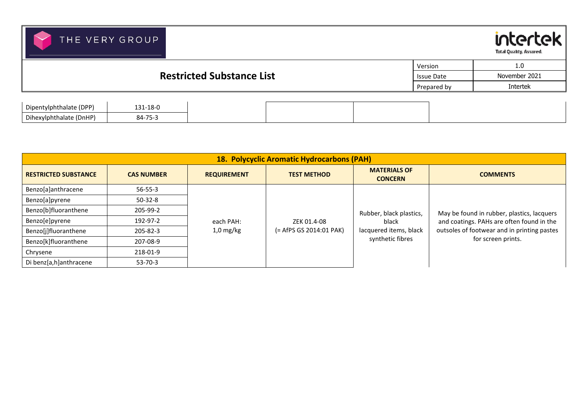

Dihexylphthalate (DnHP) 84-75-3

Chrysene 218-01-9 Di benz[a,h]anthracene 53-70-3



| <b>Restricted Substance List</b> |          |  |             | Version<br><b>Issue Date</b> | 1.0<br>November 2021 |
|----------------------------------|----------|--|-------------|------------------------------|----------------------|
|                                  |          |  | Prepared by | <b>Intertek</b>              |                      |
| Dipentylphthalate (DPP)          | 131-18-0 |  |             |                              |                      |

|                             |                   |                    | 18. Polycyclic Aromatic Hydrocarbons (PAH) |                                       |                                             |
|-----------------------------|-------------------|--------------------|--------------------------------------------|---------------------------------------|---------------------------------------------|
| <b>RESTRICTED SUBSTANCE</b> | <b>CAS NUMBER</b> | <b>REQUIREMENT</b> | <b>TEST METHOD</b>                         | <b>MATERIALS OF</b><br><b>CONCERN</b> | <b>COMMENTS</b>                             |
| Benzo[a]anthracene          | $56 - 55 - 3$     |                    |                                            |                                       |                                             |
| Benzo[a]pyrene              | $50-32-8$         |                    |                                            |                                       |                                             |
| Benzo[b]fluoranthene        | 205-99-2          |                    |                                            | Rubber, black plastics,               | May be found in rubber, plastics, lacquers  |
| Benzo[e]pyrene              | 192-97-2          | each PAH:          | ZEK 01.4-08                                | black                                 | and coatings. PAHs are often found in the   |
| Benzo[j]fluoranthene        | $205 - 82 - 3$    | $1,0$ mg/kg        | (= AfPS GS 2014:01 PAK)                    | lacquered items, black                | outsoles of footwear and in printing pastes |
| Benzo[k]fluoranthene        | 207-08-9          |                    |                                            | synthetic fibres                      | for screen prints.                          |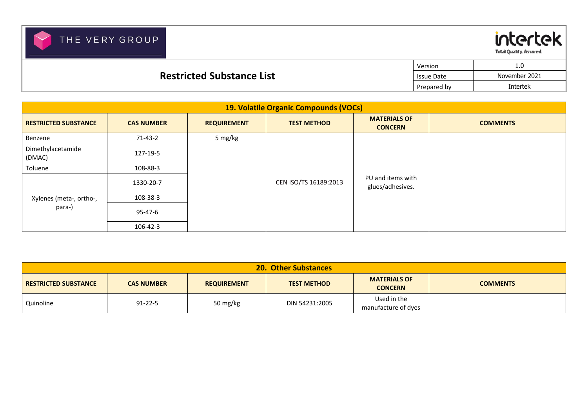



Total Quality, Assured.

┯

|                                  | Version           | <b>1.U</b>      |
|----------------------------------|-------------------|-----------------|
| <b>Restricted Substance List</b> | <b>Issue Date</b> | November 2021   |
|                                  | Prepared by       | <b>Intertek</b> |

| 19. Volatile Organic Compounds (VOCs) |                   |                    |                       |                                       |                 |  |
|---------------------------------------|-------------------|--------------------|-----------------------|---------------------------------------|-----------------|--|
| <b>RESTRICTED SUBSTANCE</b>           | <b>CAS NUMBER</b> | <b>REQUIREMENT</b> | <b>TEST METHOD</b>    | <b>MATERIALS OF</b><br><b>CONCERN</b> | <b>COMMENTS</b> |  |
| Benzene                               | $71-43-2$         | 5 mg/kg            |                       |                                       |                 |  |
| Dimethylacetamide<br>(DMAC)           | 127-19-5          |                    |                       |                                       |                 |  |
| Toluene                               | 108-88-3          |                    |                       |                                       |                 |  |
|                                       | 1330-20-7         |                    | CEN ISO/TS 16189:2013 | PU and items with<br>glues/adhesives. |                 |  |
| Xylenes (meta-, ortho-,<br>para-)     | 108-38-3          |                    |                       |                                       |                 |  |
|                                       | 95-47-6           |                    |                       |                                       |                 |  |
|                                       | $106 - 42 - 3$    |                    |                       |                                       |                 |  |

| <b>20. Other Substances</b> |                   |                    |                    |                                       |                 |
|-----------------------------|-------------------|--------------------|--------------------|---------------------------------------|-----------------|
| <b>RESTRICTED SUBSTANCE</b> | <b>CAS NUMBER</b> | <b>REQUIREMENT</b> | <b>TEST METHOD</b> | <b>MATERIALS OF</b><br><b>CONCERN</b> | <b>COMMENTS</b> |
| Quinoline                   | $91 - 22 - 5$     | 50 mg/kg           | DIN 54231:2005     | Used in the<br>manufacture of dyes    |                 |